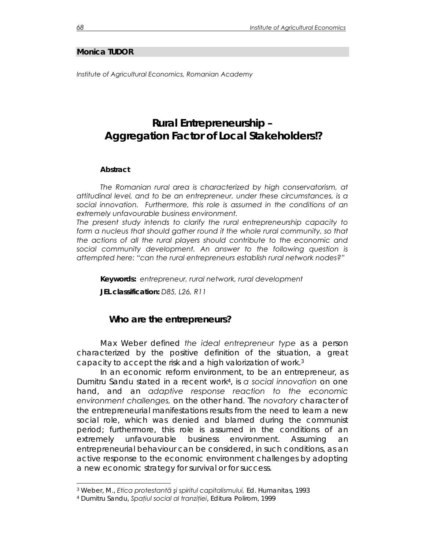#### **Monica TUDOR**

*Institute of Agricultural Economics, Romanian Academy* 

# **Rural Entrepreneurship – Aggregation Factor of Local Stakeholders!?**

#### *Abstract*

*The Romanian rural area is characterized by high conservatorism, at attitudinal level, and to be an entrepreneur, under these circumstances, is a social innovation. Furthermore, this role is assumed in the conditions of an extremely unfavourable business environment.* 

*The present study intends to clarify the rural entrepreneurship capacity to*  form a nucleus that should gather round it the whole rural community, so that *the actions of all the rural players should contribute to the economic and social community development. An answer to the following question is attempted here: "can the rural entrepreneurs establish rural network nodes?"* 

*Keywords: entrepreneur, rural network, rural development* 

*JEL classification: D85, L26, R11* 

#### **Who are the entrepreneurs?**

Max Weber defined *the ideal entrepreneur type* as a person characterized by the positive definition of the situation, a great capacity to accept the risk and a high valorization of work.3

In an economic reform environment, to be an entrepreneur, as Dumitru Sandu stated in a recent work4, is *a social innovation* on one hand, and an *adaptive response reaction to the economic environment challenges,* on the other hand*.* The *novatory* character of the entrepreneurial manifestations results from the need to learn a new social role, which was denied and blamed during the communist period; furthermore, this role is assumed in the conditions of an extremely unfavourable business environment. Assuming an entrepreneurial behaviour can be considered, in such conditions, as an active response to the economic environment challenges by adopting a new economic strategy for survival or for success.

 $\overline{a}$ 

<sup>3</sup> Weber, M., *Etica protestant<sup>ă</sup> <sup>ş</sup>i spiritul capitalismului,* Ed. Humanitas, 1993 4 Dumitru Sandu, *Spaţiul social al tranziţiei*, Editura Polirom, 1999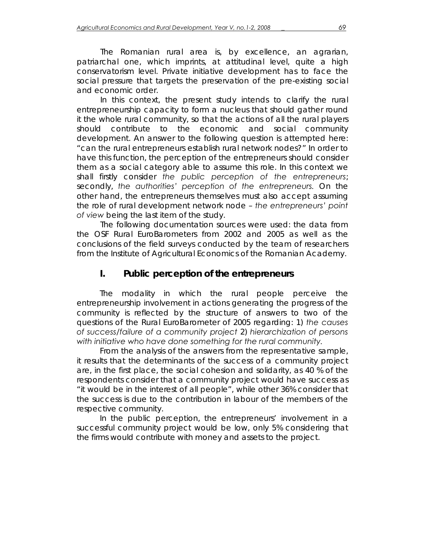The Romanian rural area is, by excellence, an agrarian, patriarchal one, which imprints, at attitudinal level, quite a high conservatorism level. Private initiative development has to face the social pressure that targets the preservation of the pre-existing social and economic order.

In this context, the present study intends to clarify the rural entrepreneurship capacity to form a nucleus that should gather round it the whole rural community, so that the actions of all the rural players should contribute to the economic and social community development. An answer to the following question is attempted here: "can the rural entrepreneurs establish rural network nodes?" In order to have this function, the perception of the entrepreneurs should consider them as a social category able to assume this role. In this context we shall firstly consider *the public perception of the entrepreneurs*; secondly, *the authorities' perception of the entrepreneurs.* On the other hand, the entrepreneurs themselves must also accept assuming the role of rural development network node – *the entrepreneurs' point of view* being the last item of the study.

The following documentation sources were used: the data from the OSF Rural EuroBarometers from 2002 and 2005 as well as the conclusions of the field surveys conducted by the team of researchers from the Institute of Agricultural Economics of the Romanian Academy.

## **I. Public perception of the entrepreneurs**

The modality in which the rural people perceive the entrepreneurship involvement in actions generating the progress of the community is reflected by the structure of answers to two of the questions of the Rural EuroBarometer of 2005 regarding: 1) *the causes of success/failure of a community project* 2) *hierarchization of persons with initiative who have done something for the rural community.* 

From the analysis of the answers from the representative sample, it results that the determinants of the success of a community project are, in the first place, the social cohesion and solidarity, as 40 % of the respondents consider that a community project would have success as "it would be in the interest of all people", while other 36% consider that the success is due to the contribution in labour of the members of the respective community.

In the public perception, the entrepreneurs' involvement in a successful community project would be low, only 5% considering that the firms would contribute with money and assets to the project.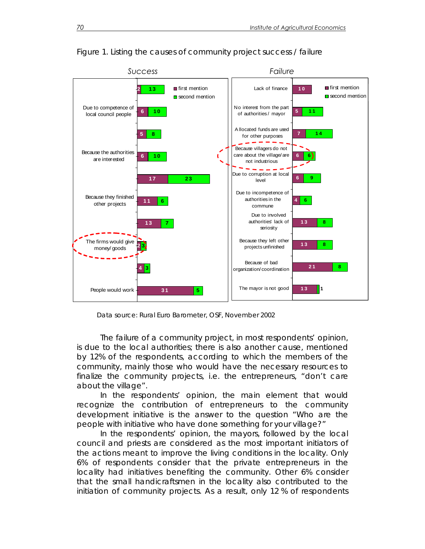

Figure 1. Listing the causes of community project success / failure

Data source: Rural Euro Barometer, OSF, November 2002

The failure of a community project, in most respondents' opinion, is due to the local authorities; there is also another cause, mentioned by 12% of the respondents, according to which the members of the community, mainly those who would have the necessary resources to finalize the community projects, i.e. the entrepreneurs, "don't care about the village".

In the respondents' opinion, the main element that would recognize the contribution of entrepreneurs to the community development initiative is the answer to the question "Who are the people with initiative who have done something for your village?"

In the respondents' opinion, the mayors, followed by the local council and priests are considered as the most important initiators of the actions meant to improve the living conditions in the locality. Only 6% of respondents consider that the private entrepreneurs in the locality had initiatives benefiting the community. Other 6% consider that the small handicraftsmen in the locality also contributed to the initiation of community projects. As a result, only 12 % of respondents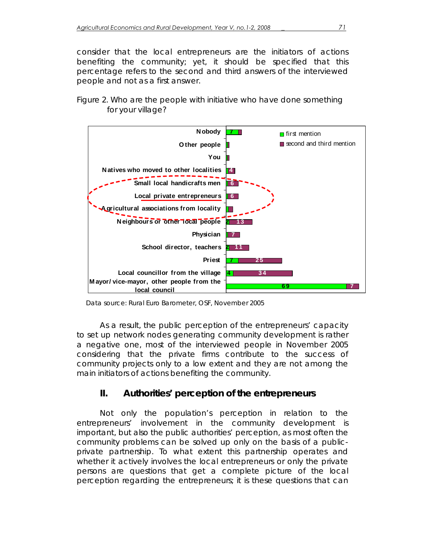consider that the local entrepreneurs are the initiators of actions benefiting the community; yet, it should be specified that this percentage refers to the second and third answers of the interviewed people and not as a first answer.

### Figure 2. Who are the people with initiative who have done something for your village?



Data source: Rural Euro Barometer, OSF, November 2005

As a result, the public perception of the entrepreneurs' capacity to set up network nodes generating community development is rather a negative one, most of the interviewed people in November 2005 considering that the private firms contribute to the success of community projects only to a low extent and they are not among the main initiators of actions benefiting the community.

# **II. Authorities' perception of the entrepreneurs**

Not only the population's perception in relation to the entrepreneurs' involvement in the community development is important, but also the public authorities' perception, as most often the community problems can be solved up only on the basis of a publicprivate partnership. To what extent this partnership operates and whether it actively involves the local entrepreneurs or only the private persons are questions that get a complete picture of the local perception regarding the entrepreneurs; it is these questions that can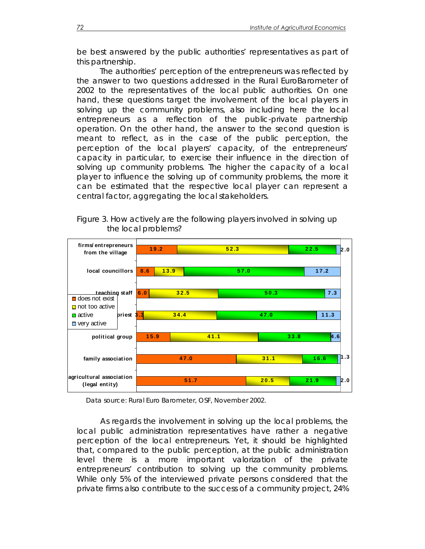be best answered by the public authorities' representatives as part of this partnership.

The authorities' perception of the entrepreneurs was reflected by the answer to two questions addressed in the Rural EuroBarometer of 2002 to the representatives of the local public authorities. On one hand, these questions target the involvement of the local players in solving up the community problems, also including here the local entrepreneurs as a reflection of the public-private partnership operation. On the other hand, the answer to the second question is meant to reflect, as in the case of the public perception, the perception of the local players' capacity, of the entrepreneurs' capacity in particular, to exercise their influence in the direction of solving up community problems. The higher the capacity of a local player to influence the solving up of community problems, the more it can be estimated that the respective local player can represent a central factor, aggregating the local stakeholders.



Figure 3. How actively are the following players involved in solving up the local problems?

Data source: Rural Euro Barometer, OSF, November 2002.

**agricultural association (legal entity)**

**family association**

**51.7**

**47.0**

As regards the involvement in solving up the local problems, the local public administration representatives have rather a negative perception of the local entrepreneurs. Yet, it should be highlighted that, compared to the public perception, at the public administration level there is a more important valorization of the private entrepreneurs' contribution to solving up the community problems. While only 5% of the interviewed private persons considered that the private firms also contribute to the success of a community project, 24%

**20.5**

**21.9**

**16.6**

**2.0**

**1.3**

**31.1**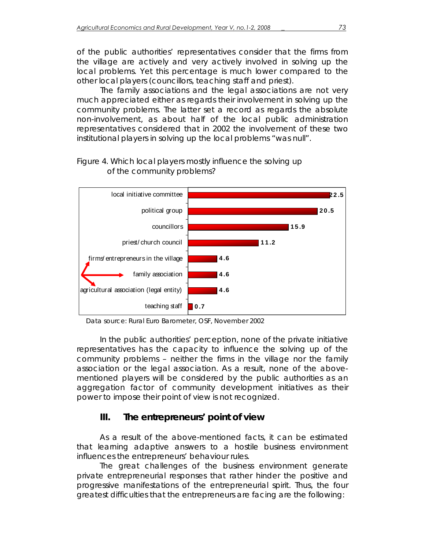of the public authorities' representatives consider that the firms from the village are actively and very actively involved in solving up the local problems. Yet this percentage is much lower compared to the other local players (councillors, teaching staff and priest).

The family associations and the legal associations are not very much appreciated either as regards their involvement in solving up the community problems. The latter set a record as regards the absolute non-involvement, as about half of the local public administration representatives considered that in 2002 the involvement of these two institutional players in solving up the local problems "was null".



### Figure 4. Which local players mostly influence the solving up of the community problems?

Data source: Rural Euro Barometer, OSF, November 2002

In the public authorities' perception, none of the private initiative representatives has the capacity to influence the solving up of the community problems – neither the firms in the village nor the family association or the legal association. As a result, none of the abovementioned players will be considered by the public authorities as an aggregation factor of community development initiatives as their power to impose their point of view is not recognized.

# **III. The entrepreneurs' point of view**

As a result of the above-mentioned facts, it can be estimated that learning adaptive answers to a hostile business environment influences the entrepreneurs' behaviour rules.

The great challenges of the business environment generate private entrepreneurial responses that rather hinder the positive and progressive manifestations of the entrepreneurial spirit. Thus, the four greatest difficulties that the entrepreneurs are facing are the following: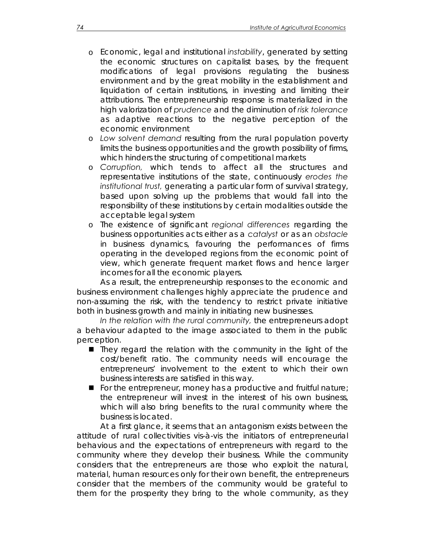- o Economic, legal and institutional *instability*, generated by setting the economic structures on capitalist bases, by the frequent modifications of legal provisions regulating the business environment and by the great mobility in the establishment and liquidation of certain institutions, in investing and limiting their attributions. The entrepreneurship response is materialized in the high valorization of *prudence* and the diminution of *risk tolerance*  as adaptive reactions to the negative perception of the economic environment
- o *Low solvent demand* resulting from the rural population poverty limits the business opportunities and the growth possibility of firms, which hinders the structuring of competitional markets
- o *Corruption,* which tends to affect all the structures and representative institutions of the state, continuously *erodes the institutional trust,* generating a particular form of survival strategy, based upon solving up the problems that would fall into the responsibility of these institutions by certain modalities outside the acceptable legal system
- o The existence of significant *regional differences* regarding the business opportunities acts either as a *catalyst* or as an *obstacle* in business dynamics, favouring the performances of firms operating in the developed regions from the economic point of view, which generate frequent market flows and hence larger incomes for all the economic players.

As a result, the entrepreneurship responses to the economic and business environment challenges highly appreciate the prudence and non-assuming the risk, with the tendency to restrict private initiative both in business growth and mainly in initiating new businesses.

*In the relation with the rural community,* the entrepreneurs adopt a behaviour adapted to the image associated to them in the public perception.

- They regard the relation with the community in the light of the cost/benefit ratio. The community needs will encourage the entrepreneurs' involvement to the extent to which their own business interests are satisfied in this way.
- For the entrepreneur, money has a productive and fruitful nature; the entrepreneur will invest in the interest of his own business, which will also bring benefits to the rural community where the business is located.

At a first glance, it seems that an antagonism exists between the attitude of rural collectivities vis-à-vis the initiators of entrepreneurial behavious and the expectations of entrepreneurs with regard to the community where they develop their business. While the community considers that the entrepreneurs are those who exploit the natural, material, human resources only for their own benefit, the entrepreneurs consider that the members of the community would be grateful to them for the prosperity they bring to the whole community, as they